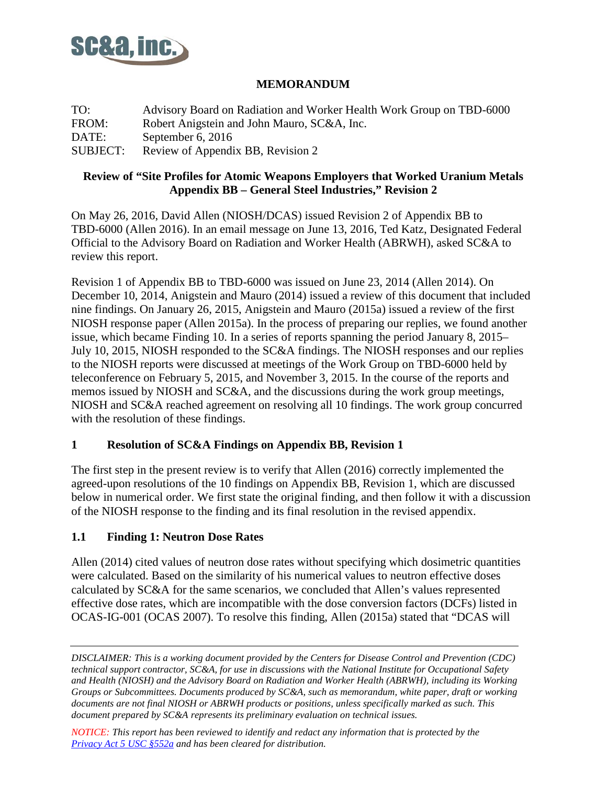

### **MEMORANDUM**

TO: Advisory Board on Radiation and Worker Health Work Group on TBD-6000 FROM: Robert Anigstein and John Mauro, SC&A, Inc. DATE: September 6, 2016 SUBJECT: Review of Appendix BB, Revision 2

#### **Review of "Site Profiles for Atomic Weapons Employers that Worked Uranium Metals Appendix BB – General Steel Industries," Revision 2**

On May 26, 2016, David Allen (NIOSH/DCAS) issued Revision 2 of Appendix BB to TBD-6000 (Allen 2016). In an email message on June 13, 2016, Ted Katz, Designated Federal Official to the Advisory Board on Radiation and Worker Health (ABRWH), asked SC&A to review this report.

Revision 1 of Appendix BB to TBD-6000 was issued on June 23, 2014 (Allen 2014). On December 10, 2014, Anigstein and Mauro (2014) issued a review of this document that included nine findings. On January 26, 2015, Anigstein and Mauro (2015a) issued a review of the first NIOSH response paper (Allen 2015a). In the process of preparing our replies, we found another issue, which became Finding 10. In a series of reports spanning the period January 8, 2015– July 10, 2015, NIOSH responded to the SC&A findings. The NIOSH responses and our replies to the NIOSH reports were discussed at meetings of the Work Group on TBD-6000 held by teleconference on February 5, 2015, and November 3, 2015. In the course of the reports and memos issued by NIOSH and SC&A, and the discussions during the work group meetings, NIOSH and SC&A reached agreement on resolving all 10 findings. The work group concurred with the resolution of these findings.

### **1 Resolution of SC&A Findings on Appendix BB, Revision 1**

The first step in the present review is to verify that Allen (2016) correctly implemented the agreed-upon resolutions of the 10 findings on Appendix BB, Revision 1, which are discussed below in numerical order. We first state the original finding, and then follow it with a discussion of the NIOSH response to the finding and its final resolution in the revised appendix.

### **1.1 Finding 1: Neutron Dose Rates**

Allen (2014) cited values of neutron dose rates without specifying which dosimetric quantities were calculated. Based on the similarity of his numerical values to neutron effective doses calculated by SC&A for the same scenarios, we concluded that Allen's values represented effective dose rates, which are incompatible with the dose conversion factors (DCFs) listed in OCAS-IG-001 (OCAS 2007). To resolve this finding, Allen (2015a) stated that "DCAS will

*NOTICE: This report has been reviewed to identify and redact any information that is protected by the Privacy [Act 5 USC §552a](http://www.justice.gov/opcl/privacy-act-1974) and has been cleared for distribution.*

*DISCLAIMER: This is a working document provided by the Centers for Disease Control and Prevention (CDC) technical support contractor, SC&A, for use in discussions with the National Institute for Occupational Safety and Health (NIOSH) and the Advisory Board on Radiation and Worker Health (ABRWH), including its Working Groups or Subcommittees. Documents produced by SC&A, such as memorandum, white paper, draft or working documents are not final NIOSH or ABRWH products or positions, unless specifically marked as such. This document prepared by SC&A represents its preliminary evaluation on technical issues.*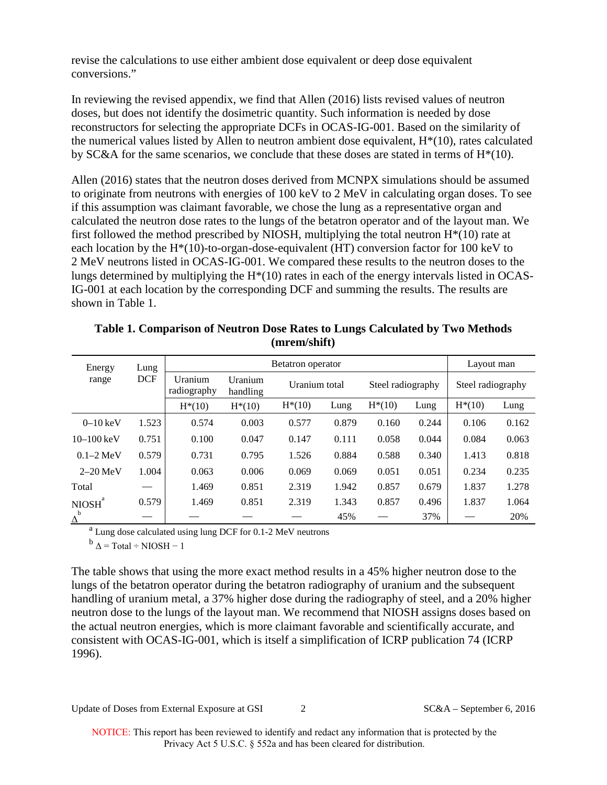revise the calculations to use either ambient dose equivalent or deep dose equivalent conversions."

In reviewing the revised appendix, we find that Allen (2016) lists revised values of neutron doses, but does not identify the dosimetric quantity. Such information is needed by dose reconstructors for selecting the appropriate DCFs in OCAS-IG-001. Based on the similarity of the numerical values listed by Allen to neutron ambient dose equivalent,  $H^*(10)$ , rates calculated by SC&A for the same scenarios, we conclude that these doses are stated in terms of  $H^*(10)$ .

Allen (2016) states that the neutron doses derived from MCNPX simulations should be assumed to originate from neutrons with energies of 100 keV to 2 MeV in calculating organ doses. To see if this assumption was claimant favorable, we chose the lung as a representative organ and calculated the neutron dose rates to the lungs of the betatron operator and of the layout man. We first followed the method prescribed by NIOSH, multiplying the total neutron  $H^*(10)$  rate at each location by the H\*(10)-to-organ-dose-equivalent (HT) conversion factor for 100 keV to 2 MeV neutrons listed in OCAS-IG-001. We compared these results to the neutron doses to the lungs determined by multiplying the  $H^*(10)$  rates in each of the energy intervals listed in OCAS-IG-001 at each location by the corresponding DCF and summing the results. The results are shown in Table 1.

| Energy                | Lung       | Betatron operator      |                                      |           |       |                   |       |                   | Layout man |  |
|-----------------------|------------|------------------------|--------------------------------------|-----------|-------|-------------------|-------|-------------------|------------|--|
| range                 | <b>DCF</b> | Uranium<br>radiography | Uranium<br>Uranium total<br>handling |           |       | Steel radiography |       | Steel radiography |            |  |
|                       |            | $H*(10)$               | $H^*(10)$                            | $H^*(10)$ | Lung  | $H^*(10)$         | Lung  | $H^*(10)$         | Lung       |  |
| $0-10$ keV            | 1.523      | 0.574                  | 0.003                                | 0.577     | 0.879 | 0.160             | 0.244 | 0.106             | 0.162      |  |
| $10 - 100$ keV        | 0.751      | 0.100                  | 0.047                                | 0.147     | 0.111 | 0.058             | 0.044 | 0.084             | 0.063      |  |
| $0.1 - 2 \text{ MeV}$ | 0.579      | 0.731                  | 0.795                                | 1.526     | 0.884 | 0.588             | 0.340 | 1.413             | 0.818      |  |
| $2-20$ MeV            | 1.004      | 0.063                  | 0.006                                | 0.069     | 0.069 | 0.051             | 0.051 | 0.234             | 0.235      |  |
| Total                 |            | 1.469                  | 0.851                                | 2.319     | 1.942 | 0.857             | 0.679 | 1.837             | 1.278      |  |
| a<br><b>NIOSH</b>     | 0.579      | 1.469                  | 0.851                                | 2.319     | 1.343 | 0.857             | 0.496 | 1.837             | 1.064      |  |
| b<br>Δ                |            |                        |                                      |           | 45%   |                   | 37%   |                   | 20%        |  |

**Table 1. Comparison of Neutron Dose Rates to Lungs Calculated by Two Methods (mrem/shift)**

<sup>a</sup> Lung dose calculated using lung DCF for 0.1-2 MeV neutrons b  $\Delta$  = Total ÷ NIOSH – 1

The table shows that using the more exact method results in a 45% higher neutron dose to the lungs of the betatron operator during the betatron radiography of uranium and the subsequent handling of uranium metal, a 37% higher dose during the radiography of steel, and a 20% higher neutron dose to the lungs of the layout man. We recommend that NIOSH assigns doses based on the actual neutron energies, which is more claimant favorable and scientifically accurate, and consistent with OCAS-IG-001, which is itself a simplification of ICRP publication 74 (ICRP 1996).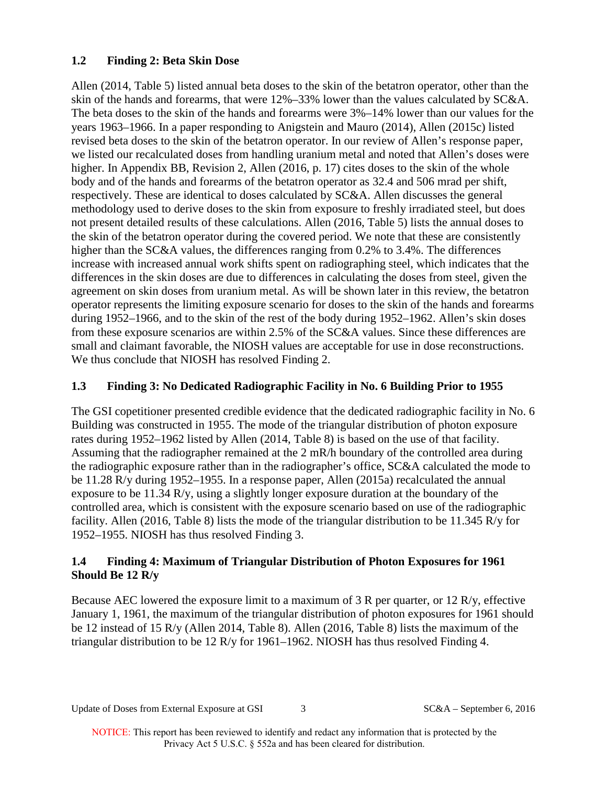## **1.2 Finding 2: Beta Skin Dose**

Allen (2014, Table 5) listed annual beta doses to the skin of the betatron operator, other than the skin of the hands and forearms, that were 12%–33% lower than the values calculated by SC&A. The beta doses to the skin of the hands and forearms were 3%–14% lower than our values for the years 1963–1966. In a paper responding to Anigstein and Mauro (2014), Allen (2015c) listed revised beta doses to the skin of the betatron operator. In our review of Allen's response paper, we listed our recalculated doses from handling uranium metal and noted that Allen's doses were higher. In Appendix BB, Revision 2, Allen (2016, p. 17) cites doses to the skin of the whole body and of the hands and forearms of the betatron operator as 32.4 and 506 mrad per shift, respectively. These are identical to doses calculated by SC&A. Allen discusses the general methodology used to derive doses to the skin from exposure to freshly irradiated steel, but does not present detailed results of these calculations. Allen (2016, Table 5) lists the annual doses to the skin of the betatron operator during the covered period. We note that these are consistently higher than the SC&A values, the differences ranging from 0.2% to 3.4%. The differences increase with increased annual work shifts spent on radiographing steel, which indicates that the differences in the skin doses are due to differences in calculating the doses from steel, given the agreement on skin doses from uranium metal. As will be shown later in this review, the betatron operator represents the limiting exposure scenario for doses to the skin of the hands and forearms during 1952–1966, and to the skin of the rest of the body during 1952–1962. Allen's skin doses from these exposure scenarios are within 2.5% of the SC&A values. Since these differences are small and claimant favorable, the NIOSH values are acceptable for use in dose reconstructions. We thus conclude that NIOSH has resolved Finding 2.

## **1.3 Finding 3: No Dedicated Radiographic Facility in No. 6 Building Prior to 1955**

The GSI copetitioner presented credible evidence that the dedicated radiographic facility in No. 6 Building was constructed in 1955. The mode of the triangular distribution of photon exposure rates during 1952–1962 listed by Allen (2014, Table 8) is based on the use of that facility. Assuming that the radiographer remained at the 2 mR/h boundary of the controlled area during the radiographic exposure rather than in the radiographer's office, SC&A calculated the mode to be 11.28 R/y during 1952–1955. In a response paper, Allen (2015a) recalculated the annual exposure to be 11.34 R/y, using a slightly longer exposure duration at the boundary of the controlled area, which is consistent with the exposure scenario based on use of the radiographic facility. Allen (2016, Table 8) lists the mode of the triangular distribution to be 11.345 R/y for 1952–1955. NIOSH has thus resolved Finding 3.

## **1.4 Finding 4: Maximum of Triangular Distribution of Photon Exposures for 1961 Should Be 12 R/y**

Because AEC lowered the exposure limit to a maximum of 3 R per quarter, or 12 R/y, effective January 1, 1961, the maximum of the triangular distribution of photon exposures for 1961 should be 12 instead of 15 R/y (Allen 2014, Table 8). Allen (2016, Table 8) lists the maximum of the triangular distribution to be 12 R/y for 1961–1962. NIOSH has thus resolved Finding 4.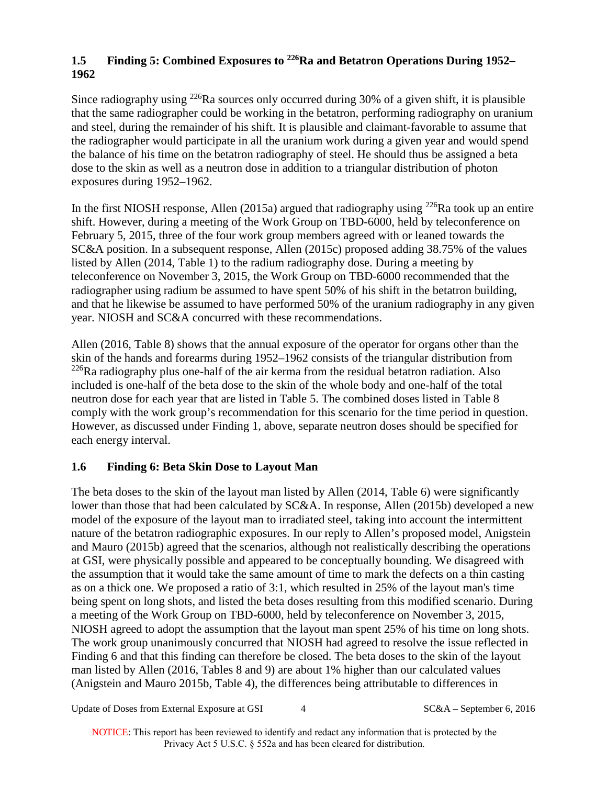# **1.5 Finding 5: Combined Exposures to 226Ra and Betatron Operations During 1952– 1962**

Since radiography using <sup>226</sup>Ra sources only occurred during 30% of a given shift, it is plausible that the same radiographer could be working in the betatron, performing radiography on uranium and steel, during the remainder of his shift. It is plausible and claimant-favorable to assume that the radiographer would participate in all the uranium work during a given year and would spend the balance of his time on the betatron radiography of steel. He should thus be assigned a beta dose to the skin as well as a neutron dose in addition to a triangular distribution of photon exposures during 1952–1962.

In the first NIOSH response, Allen (2015a) argued that radiography using <sup>226</sup>Ra took up an entire shift. However, during a meeting of the Work Group on TBD-6000, held by teleconference on February 5, 2015, three of the four work group members agreed with or leaned towards the SC&A position. In a subsequent response, Allen (2015c) proposed adding 38.75% of the values listed by Allen (2014, Table 1) to the radium radiography dose. During a meeting by teleconference on November 3, 2015, the Work Group on TBD-6000 recommended that the radiographer using radium be assumed to have spent 50% of his shift in the betatron building, and that he likewise be assumed to have performed 50% of the uranium radiography in any given year. NIOSH and SC&A concurred with these recommendations.

Allen (2016, Table 8) shows that the annual exposure of the operator for organs other than the skin of the hands and forearms during 1952–1962 consists of the triangular distribution from  $226$ Ra radiography plus one-half of the air kerma from the residual betatron radiation. Also included is one-half of the beta dose to the skin of the whole body and one-half of the total neutron dose for each year that are listed in Table 5. The combined doses listed in Table 8 comply with the work group's recommendation for this scenario for the time period in question. However, as discussed under Finding 1, above, separate neutron doses should be specified for each energy interval.

## **1.6 Finding 6: Beta Skin Dose to Layout Man**

The beta doses to the skin of the layout man listed by Allen (2014, Table 6) were significantly lower than those that had been calculated by SC&A. In response, Allen (2015b) developed a new model of the exposure of the layout man to irradiated steel, taking into account the intermittent nature of the betatron radiographic exposures. In our reply to Allen's proposed model, Anigstein and Mauro (2015b) agreed that the scenarios, although not realistically describing the operations at GSI, were physically possible and appeared to be conceptually bounding. We disagreed with the assumption that it would take the same amount of time to mark the defects on a thin casting as on a thick one. We proposed a ratio of 3:1, which resulted in 25% of the layout man's time being spent on long shots, and listed the beta doses resulting from this modified scenario. During a meeting of the Work Group on TBD-6000, held by teleconference on November 3, 2015, NIOSH agreed to adopt the assumption that the layout man spent 25% of his time on long shots. The work group unanimously concurred that NIOSH had agreed to resolve the issue reflected in Finding 6 and that this finding can therefore be closed. The beta doses to the skin of the layout man listed by Allen (2016, Tables 8 and 9) are about 1% higher than our calculated values (Anigstein and Mauro 2015b, Table 4), the differences being attributable to differences in

Update of Doses from External Exposure at GSI 4 SC&A – September 6, 2016

NOTICE: This report has been reviewed to identify and redact any information that is protected by the Privacy Act 5 U.S.C. § 552a and has been cleared for distribution.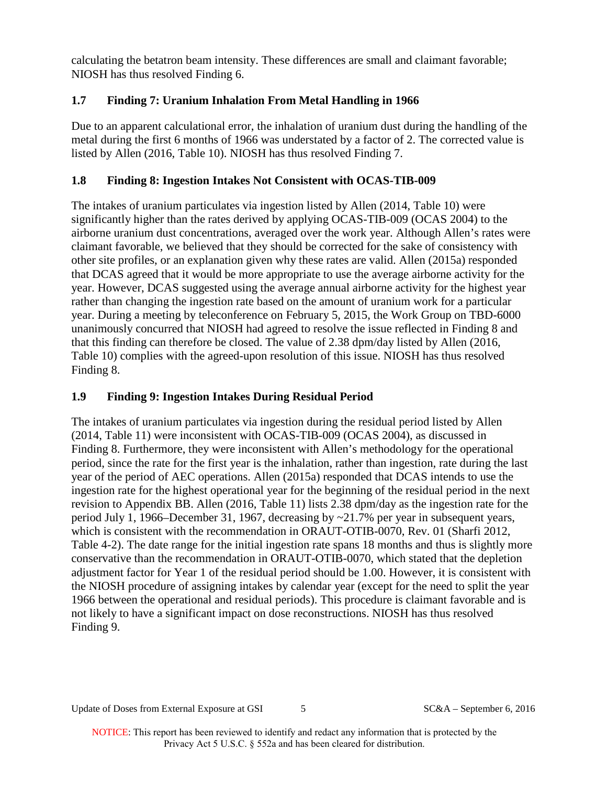calculating the betatron beam intensity. These differences are small and claimant favorable; NIOSH has thus resolved Finding 6.

# **1.7 Finding 7: Uranium Inhalation From Metal Handling in 1966**

Due to an apparent calculational error, the inhalation of uranium dust during the handling of the metal during the first 6 months of 1966 was understated by a factor of 2. The corrected value is listed by Allen (2016, Table 10). NIOSH has thus resolved Finding 7.

## **1.8 Finding 8: Ingestion Intakes Not Consistent with OCAS-TIB-009**

The intakes of uranium particulates via ingestion listed by Allen (2014, Table 10) were significantly higher than the rates derived by applying OCAS-TIB-009 (OCAS 2004) to the airborne uranium dust concentrations, averaged over the work year. Although Allen's rates were claimant favorable, we believed that they should be corrected for the sake of consistency with other site profiles, or an explanation given why these rates are valid. Allen (2015a) responded that DCAS agreed that it would be more appropriate to use the average airborne activity for the year. However, DCAS suggested using the average annual airborne activity for the highest year rather than changing the ingestion rate based on the amount of uranium work for a particular year. During a meeting by teleconference on February 5, 2015, the Work Group on TBD-6000 unanimously concurred that NIOSH had agreed to resolve the issue reflected in Finding 8 and that this finding can therefore be closed. The value of 2.38 dpm/day listed by Allen (2016, Table 10) complies with the agreed-upon resolution of this issue. NIOSH has thus resolved Finding 8.

# **1.9 Finding 9: Ingestion Intakes During Residual Period**

The intakes of uranium particulates via ingestion during the residual period listed by Allen (2014, Table 11) were inconsistent with OCAS-TIB-009 (OCAS 2004), as discussed in Finding 8. Furthermore, they were inconsistent with Allen's methodology for the operational period, since the rate for the first year is the inhalation, rather than ingestion, rate during the last year of the period of AEC operations. Allen (2015a) responded that DCAS intends to use the ingestion rate for the highest operational year for the beginning of the residual period in the next revision to Appendix BB. Allen (2016, Table 11) lists 2.38 dpm/day as the ingestion rate for the period July 1, 1966–December 31, 1967, decreasing by ~21.7% per year in subsequent years, which is consistent with the recommendation in ORAUT-OTIB-0070, Rev. 01 (Sharfi 2012, Table 4-2). The date range for the initial ingestion rate spans 18 months and thus is slightly more conservative than the recommendation in ORAUT-OTIB-0070, which stated that the depletion adjustment factor for Year 1 of the residual period should be 1.00. However, it is consistent with the NIOSH procedure of assigning intakes by calendar year (except for the need to split the year 1966 between the operational and residual periods). This procedure is claimant favorable and is not likely to have a significant impact on dose reconstructions. NIOSH has thus resolved Finding 9.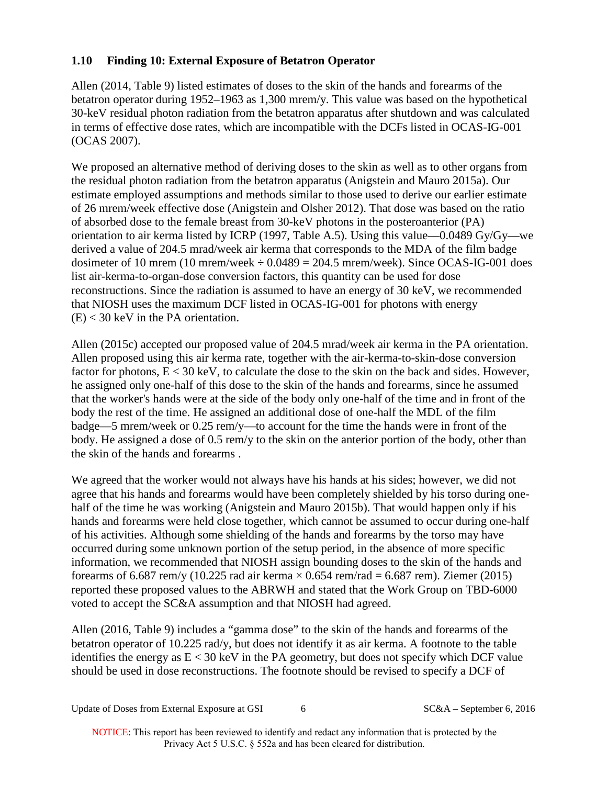## **1.10 Finding 10: External Exposure of Betatron Operator**

Allen (2014, Table 9) listed estimates of doses to the skin of the hands and forearms of the betatron operator during 1952–1963 as 1,300 mrem/y. This value was based on the hypothetical 30-keV residual photon radiation from the betatron apparatus after shutdown and was calculated in terms of effective dose rates, which are incompatible with the DCFs listed in OCAS-IG-001 (OCAS 2007).

We proposed an alternative method of deriving doses to the skin as well as to other organs from the residual photon radiation from the betatron apparatus (Anigstein and Mauro 2015a). Our estimate employed assumptions and methods similar to those used to derive our earlier estimate of 26 mrem/week effective dose (Anigstein and Olsher 2012). That dose was based on the ratio of absorbed dose to the female breast from 30-keV photons in the posteroanterior (PA) orientation to air kerma listed by ICRP (1997, Table A.5). Using this value—0.0489 Gy/Gy—we derived a value of 204.5 mrad/week air kerma that corresponds to the MDA of the film badge dosimeter of 10 mrem (10 mrem/week  $\div$  0.0489 = 204.5 mrem/week). Since OCAS-IG-001 does list air-kerma-to-organ-dose conversion factors, this quantity can be used for dose reconstructions. Since the radiation is assumed to have an energy of 30 keV, we recommended that NIOSH uses the maximum DCF listed in OCAS-IG-001 for photons with energy  $(E)$  < 30 keV in the PA orientation.

Allen (2015c) accepted our proposed value of 204.5 mrad/week air kerma in the PA orientation. Allen proposed using this air kerma rate, together with the air-kerma-to-skin-dose conversion factor for photons,  $E < 30$  keV, to calculate the dose to the skin on the back and sides. However, he assigned only one-half of this dose to the skin of the hands and forearms, since he assumed that the worker's hands were at the side of the body only one-half of the time and in front of the body the rest of the time. He assigned an additional dose of one-half the MDL of the film badge—5 mrem/week or 0.25 rem/y—to account for the time the hands were in front of the body. He assigned a dose of 0.5 rem/y to the skin on the anterior portion of the body, other than the skin of the hands and forearms .

We agreed that the worker would not always have his hands at his sides; however, we did not agree that his hands and forearms would have been completely shielded by his torso during onehalf of the time he was working (Anigstein and Mauro 2015b). That would happen only if his hands and forearms were held close together, which cannot be assumed to occur during one-half of his activities. Although some shielding of the hands and forearms by the torso may have occurred during some unknown portion of the setup period, in the absence of more specific information, we recommended that NIOSH assign bounding doses to the skin of the hands and forearms of 6.687 rem/y (10.225 rad air kerma  $\times$  0.654 rem/rad = 6.687 rem). Ziemer (2015) reported these proposed values to the ABRWH and stated that the Work Group on TBD-6000 voted to accept the SC&A assumption and that NIOSH had agreed.

Allen (2016, Table 9) includes a "gamma dose" to the skin of the hands and forearms of the betatron operator of 10.225 rad/y, but does not identify it as air kerma. A footnote to the table identifies the energy as  $E < 30 \text{ keV}$  in the PA geometry, but does not specify which DCF value should be used in dose reconstructions. The footnote should be revised to specify a DCF of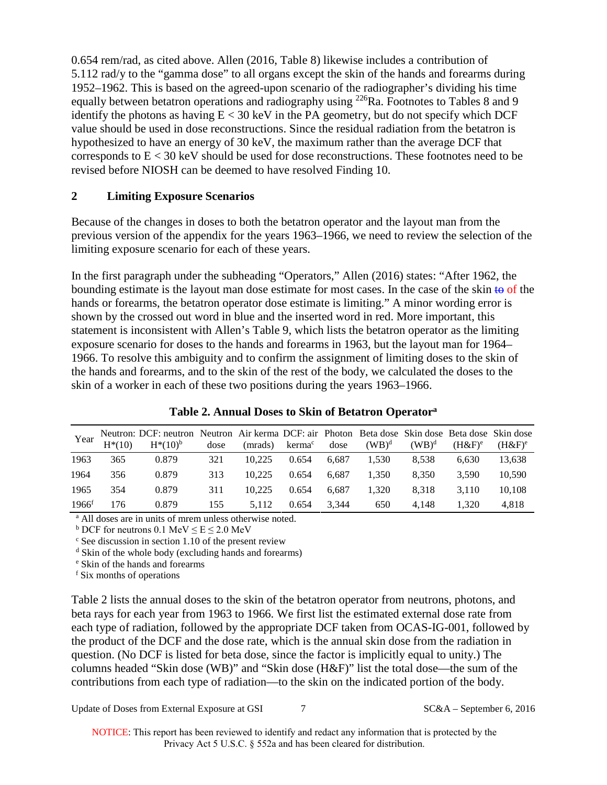0.654 rem/rad, as cited above. Allen (2016, Table 8) likewise includes a contribution of 5.112 rad/y to the "gamma dose" to all organs except the skin of the hands and forearms during 1952–1962. This is based on the agreed-upon scenario of the radiographer's dividing his time equally between betatron operations and radiography using <sup>226</sup>Ra. Footnotes to Tables 8 and 9 identify the photons as having  $E < 30$  keV in the PA geometry, but do not specify which DCF value should be used in dose reconstructions. Since the residual radiation from the betatron is hypothesized to have an energy of 30 keV, the maximum rather than the average DCF that corresponds to  $E < 30 \text{ keV}$  should be used for dose reconstructions. These footnotes need to be revised before NIOSH can be deemed to have resolved Finding 10.

## **2 Limiting Exposure Scenarios**

Because of the changes in doses to both the betatron operator and the layout man from the previous version of the appendix for the years 1963–1966, we need to review the selection of the limiting exposure scenario for each of these years.

In the first paragraph under the subheading "Operators," Allen (2016) states: "After 1962, the bounding estimate is the layout man dose estimate for most cases. In the case of the skin  $\theta$  of the hands or forearms, the betatron operator dose estimate is limiting." A minor wording error is shown by the crossed out word in blue and the inserted word in red. More important, this statement is inconsistent with Allen's Table 9, which lists the betatron operator as the limiting exposure scenario for doses to the hands and forearms in 1963, but the layout man for 1964– 1966. To resolve this ambiguity and to confirm the assignment of limiting doses to the skin of the hands and forearms, and to the skin of the rest of the body, we calculated the doses to the skin of a worker in each of these two positions during the years 1963–1966.

| Year     | $H*(10)$ | Neutron: DCF: neutron Neutron Air kerma DCF: air Photon Beta dose Skin dose Beta dose Skin dose<br>$H^*(10)^b$ | dose | (mrads) | kerma <sup>c</sup> | dose  | $(WB)^d$ | $(WB)^d$ | (H&F) <sup>e</sup> | (H&F) <sup>e</sup> |
|----------|----------|----------------------------------------------------------------------------------------------------------------|------|---------|--------------------|-------|----------|----------|--------------------|--------------------|
| 1963     | 365      | 0.879                                                                                                          | 321  | 10.225  | 0.654              | 6.687 | 1.530    | 8.538    | 6.630              | 13,638             |
| 1964     | 356      | 0.879                                                                                                          | 313  | 10.225  | 0.654              | 6.687 | 1.350    | 8.350    | 3.590              | 10.590             |
| 1965     | 354      | 0.879                                                                                                          | 311  | 10.225  | 0.654              | 6.687 | 1.320    | 8.318    | 3.110              | 10.108             |
| $1966^t$ | 176      | 0.879                                                                                                          | 155  | 5.112   | 0.654              | 3.344 | 650      | 4.148    | .320               | 4.818              |

### **Table 2. Annual Doses to Skin of Betatron Operatora**

<sup>a</sup> All doses are in units of mrem unless otherwise noted.

 $b$  DCF for neutrons 0.1 MeV  $\le E \le 2.0$  MeV

 $\epsilon$  See discussion in section 1.10 of the present review

<sup>d</sup> Skin of the whole body (excluding hands and forearms)

<sup>e</sup> Skin of the hands and forearms

<sup>f</sup> Six months of operations

Table 2 lists the annual doses to the skin of the betatron operator from neutrons, photons, and beta rays for each year from 1963 to 1966. We first list the estimated external dose rate from each type of radiation, followed by the appropriate DCF taken from OCAS-IG-001, followed by the product of the DCF and the dose rate, which is the annual skin dose from the radiation in question. (No DCF is listed for beta dose, since the factor is implicitly equal to unity.) The columns headed "Skin dose (WB)" and "Skin dose (H&F)" list the total dose—the sum of the contributions from each type of radiation—to the skin on the indicated portion of the body.

Update of Doses from External Exposure at GSI 7 SC&A – September 6, 2016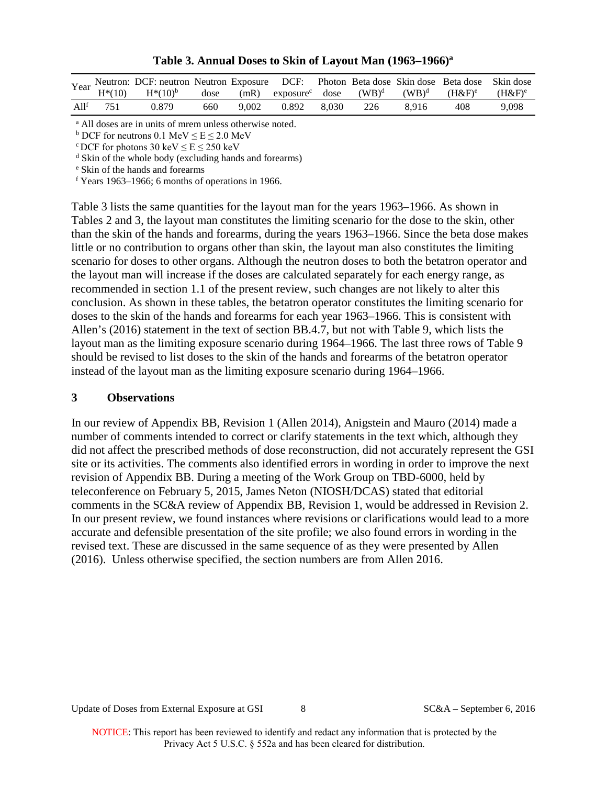|                  |     | Year Neutron: DCF: neutron Neutron Exposure DCF: Photon Beta dose Skin dose Beta dose Skin dose |     |       |       |       |                                                 |          |                    |                      |
|------------------|-----|-------------------------------------------------------------------------------------------------|-----|-------|-------|-------|-------------------------------------------------|----------|--------------------|----------------------|
|                  |     | $H^*(10)$ $H^*(10)^b$                                                                           |     |       |       |       | dose $(mR)$ exposure <sup>c</sup> dose $(WB)^d$ | $(WB)^d$ | (H&F) <sup>e</sup> | $(H&F)$ <sup>e</sup> |
| Al1 <sup>t</sup> | 751 | 0.879                                                                                           | 660 | 9.002 | 0.892 | 8.030 | 226                                             | 8.916    | 408                | 9,098                |

**Table 3. Annual Doses to Skin of Layout Man (1963–1966)a**

<sup>a</sup> All doses are in units of mrem unless otherwise noted.

 $b$  DCF for neutrons 0.1 MeV  $\le E \le 2.0$  MeV

 $c$  DCF for photons 30 keV  $\le E \le 250$  keV

<sup>d</sup> Skin of the whole body (excluding hands and forearms)

<sup>e</sup> Skin of the hands and forearms

 $f$  Years 1963–1966; 6 months of operations in 1966.

Table 3 lists the same quantities for the layout man for the years 1963–1966. As shown in Tables 2 and 3, the layout man constitutes the limiting scenario for the dose to the skin, other than the skin of the hands and forearms, during the years 1963–1966. Since the beta dose makes little or no contribution to organs other than skin, the layout man also constitutes the limiting scenario for doses to other organs. Although the neutron doses to both the betatron operator and the layout man will increase if the doses are calculated separately for each energy range, as recommended in section 1.1 of the present review, such changes are not likely to alter this conclusion. As shown in these tables, the betatron operator constitutes the limiting scenario for doses to the skin of the hands and forearms for each year 1963–1966. This is consistent with Allen's (2016) statement in the text of section BB.4.7, but not with Table 9, which lists the layout man as the limiting exposure scenario during 1964–1966. The last three rows of Table 9 should be revised to list doses to the skin of the hands and forearms of the betatron operator instead of the layout man as the limiting exposure scenario during 1964–1966.

#### **3 Observations**

In our review of Appendix BB, Revision 1 (Allen 2014), Anigstein and Mauro (2014) made a number of comments intended to correct or clarify statements in the text which, although they did not affect the prescribed methods of dose reconstruction, did not accurately represent the GSI site or its activities. The comments also identified errors in wording in order to improve the next revision of Appendix BB. During a meeting of the Work Group on TBD-6000, held by teleconference on February 5, 2015, James Neton (NIOSH/DCAS) stated that editorial comments in the SC&A review of Appendix BB, Revision 1, would be addressed in Revision 2. In our present review, we found instances where revisions or clarifications would lead to a more accurate and defensible presentation of the site profile; we also found errors in wording in the revised text. These are discussed in the same sequence of as they were presented by Allen (2016). Unless otherwise specified, the section numbers are from Allen 2016.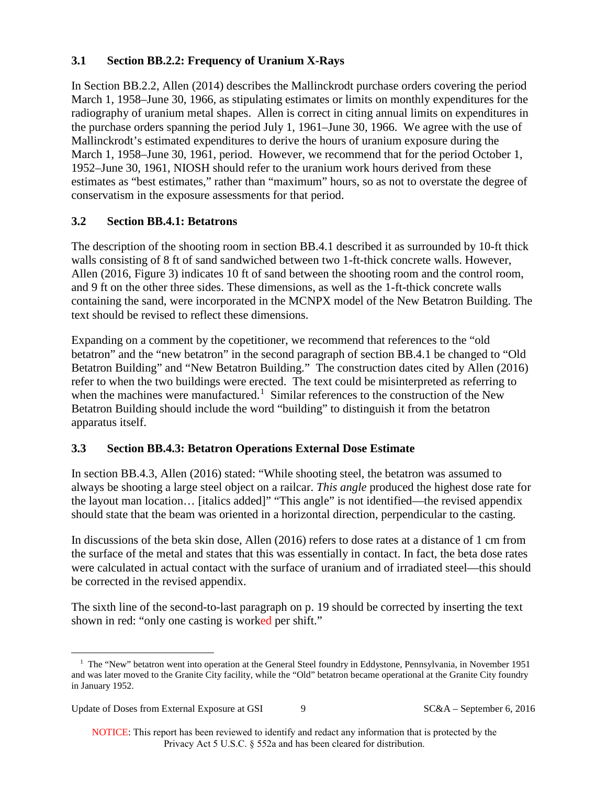## **3.1 Section BB.2.2: Frequency of Uranium X-Rays**

In Section BB.2.2, Allen (2014) describes the Mallinckrodt purchase orders covering the period March 1, 1958–June 30, 1966, as stipulating estimates or limits on monthly expenditures for the radiography of uranium metal shapes. Allen is correct in citing annual limits on expenditures in the purchase orders spanning the period July 1, 1961–June 30, 1966. We agree with the use of Mallinckrodt's estimated expenditures to derive the hours of uranium exposure during the March 1, 1958–June 30, 1961, period. However, we recommend that for the period October 1, 1952–June 30, 1961, NIOSH should refer to the uranium work hours derived from these estimates as "best estimates," rather than "maximum" hours, so as not to overstate the degree of conservatism in the exposure assessments for that period.

## **3.2 Section BB.4.1: Betatrons**

The description of the shooting room in section BB.4.1 described it as surrounded by 10-ft thick walls consisting of 8 ft of sand sandwiched between two 1-ft-thick concrete walls. However, Allen (2016, Figure 3) indicates 10 ft of sand between the shooting room and the control room, and 9 ft on the other three sides. These dimensions, as well as the 1-ft-thick concrete walls containing the sand, were incorporated in the MCNPX model of the New Betatron Building. The text should be revised to reflect these dimensions.

Expanding on a comment by the copetitioner, we recommend that references to the "old betatron" and the "new betatron" in the second paragraph of section BB.4.1 be changed to "Old Betatron Building" and "New Betatron Building." The construction dates cited by Allen (2016) refer to when the two buildings were erected. The text could be misinterpreted as referring to when the machines were manufactured.<sup>[1](#page-8-0)</sup> Similar references to the construction of the New Betatron Building should include the word "building" to distinguish it from the betatron apparatus itself.

### **3.3 Section BB.4.3: Betatron Operations External Dose Estimate**

In section BB.4.3, Allen (2016) stated: "While shooting steel, the betatron was assumed to always be shooting a large steel object on a railcar. *This angle* produced the highest dose rate for the layout man location… [italics added]" "This angle" is not identified—the revised appendix should state that the beam was oriented in a horizontal direction, perpendicular to the casting.

In discussions of the beta skin dose, Allen (2016) refers to dose rates at a distance of 1 cm from the surface of the metal and states that this was essentially in contact. In fact, the beta dose rates were calculated in actual contact with the surface of uranium and of irradiated steel—this should be corrected in the revised appendix.

The sixth line of the second-to-last paragraph on p. 19 should be corrected by inserting the text shown in red: "only one casting is worked per shift."

<span id="page-8-0"></span><sup>&</sup>lt;sup>1</sup> The "New" betatron went into operation at the General Steel foundry in Eddystone, Pennsylvania, in November 1951 and was later moved to the Granite City facility, while the "Old" betatron became operational at the Granite City foundry in January 1952.

Update of Doses from External Exposure at GSI 9 SC&A – September 6, 2016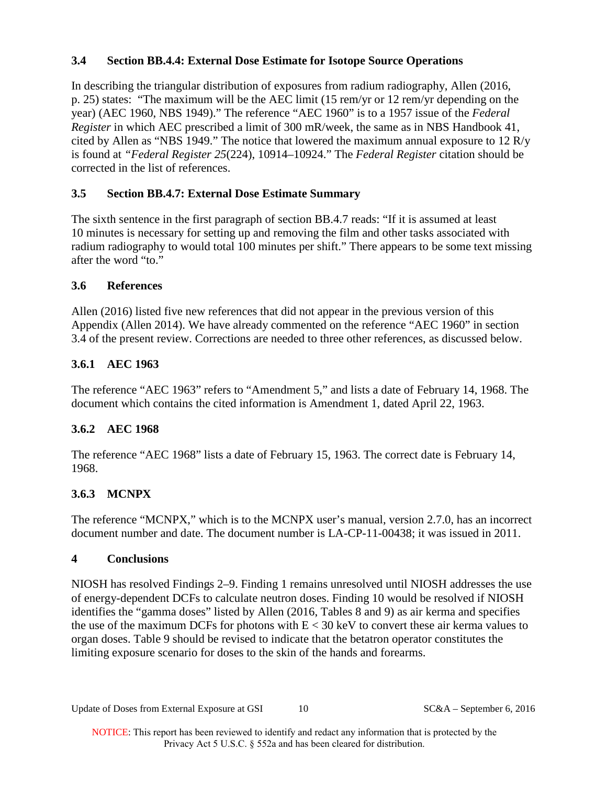## **3.4 Section BB.4.4: External Dose Estimate for Isotope Source Operations**

In describing the triangular distribution of exposures from radium radiography, Allen (2016, p. 25) states: "The maximum will be the AEC limit (15 rem/yr or 12 rem/yr depending on the year) (AEC 1960, NBS 1949)." The reference "AEC 1960" is to a 1957 issue of the *Federal Register* in which AEC prescribed a limit of 300 mR/week, the same as in NBS Handbook 41, cited by Allen as "NBS 1949." The notice that lowered the maximum annual exposure to 12 R/y is found at *"Federal Register 25*(224), 10914–10924." The *Federal Register* citation should be corrected in the list of references.

## **3.5 Section BB.4.7: External Dose Estimate Summary**

The sixth sentence in the first paragraph of section BB.4.7 reads: "If it is assumed at least 10 minutes is necessary for setting up and removing the film and other tasks associated with radium radiography to would total 100 minutes per shift." There appears to be some text missing after the word "to."

### **3.6 References**

Allen (2016) listed five new references that did not appear in the previous version of this Appendix (Allen 2014). We have already commented on the reference "AEC 1960" in section 3.4 of the present review. Corrections are needed to three other references, as discussed below.

## **3.6.1 AEC 1963**

The reference "AEC 1963" refers to "Amendment 5," and lists a date of February 14, 1968. The document which contains the cited information is Amendment 1, dated April 22, 1963.

## **3.6.2 AEC 1968**

The reference "AEC 1968" lists a date of February 15, 1963. The correct date is February 14, 1968.

## **3.6.3 MCNPX**

The reference "MCNPX," which is to the MCNPX user's manual, version 2.7.0, has an incorrect document number and date. The document number is LA-CP-11-00438; it was issued in 2011.

## **4 Conclusions**

NIOSH has resolved Findings 2–9. Finding 1 remains unresolved until NIOSH addresses the use of energy-dependent DCFs to calculate neutron doses. Finding 10 would be resolved if NIOSH identifies the "gamma doses" listed by Allen (2016, Tables 8 and 9) as air kerma and specifies the use of the maximum DCFs for photons with  $E < 30 \text{ keV}$  to convert these air kerma values to organ doses. Table 9 should be revised to indicate that the betatron operator constitutes the limiting exposure scenario for doses to the skin of the hands and forearms.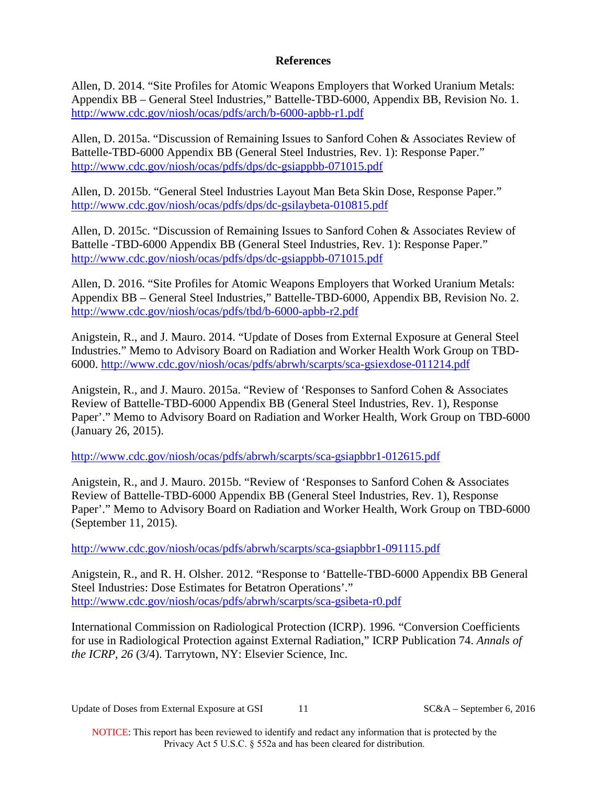#### **References**

Allen, D. 2014. "Site Profiles for Atomic Weapons Employers that Worked Uranium Metals: Appendix BB – General Steel Industries," Battelle-TBD-6000, Appendix BB, Revision No. 1. <http://www.cdc.gov/niosh/ocas/pdfs/arch/b-6000-apbb-r1.pdf>

Allen, D. 2015a. "Discussion of Remaining Issues to Sanford Cohen & Associates Review of Battelle-TBD-6000 Appendix BB (General Steel Industries, Rev. 1): Response Paper." <http://www.cdc.gov/niosh/ocas/pdfs/dps/dc-gsiappbb-071015.pdf>

Allen, D. 2015b. "General Steel Industries Layout Man Beta Skin Dose, Response Paper." <http://www.cdc.gov/niosh/ocas/pdfs/dps/dc-gsilaybeta-010815.pdf>

Allen, D. 2015c. "Discussion of Remaining Issues to Sanford Cohen & Associates Review of Battelle -TBD-6000 Appendix BB (General Steel Industries, Rev. 1): Response Paper." <http://www.cdc.gov/niosh/ocas/pdfs/dps/dc-gsiappbb-071015.pdf>

Allen, D. 2016. "Site Profiles for Atomic Weapons Employers that Worked Uranium Metals: Appendix BB – General Steel Industries," Battelle-TBD-6000, Appendix BB, Revision No. 2. <http://www.cdc.gov/niosh/ocas/pdfs/tbd/b-6000-apbb-r2.pdf>

Anigstein, R., and J. Mauro. 2014. "Update of Doses from External Exposure at General Steel Industries." Memo to Advisory Board on Radiation and Worker Health Work Group on TBD-6000.<http://www.cdc.gov/niosh/ocas/pdfs/abrwh/scarpts/sca-gsiexdose-011214.pdf>

Anigstein, R., and J. Mauro. 2015a. "Review of 'Responses to Sanford Cohen & Associates Review of Battelle-TBD-6000 Appendix BB (General Steel Industries, Rev. 1), Response Paper'." Memo to Advisory Board on Radiation and Worker Health, Work Group on TBD-6000 (January 26, 2015).

<http://www.cdc.gov/niosh/ocas/pdfs/abrwh/scarpts/sca-gsiapbbr1-012615.pdf>

Anigstein, R., and J. Mauro. 2015b. "Review of 'Responses to Sanford Cohen & Associates Review of Battelle-TBD-6000 Appendix BB (General Steel Industries, Rev. 1), Response Paper'." Memo to Advisory Board on Radiation and Worker Health, Work Group on TBD-6000 (September 11, 2015).

<http://www.cdc.gov/niosh/ocas/pdfs/abrwh/scarpts/sca-gsiapbbr1-091115.pdf>

Anigstein, R., and R. H. Olsher. 2012. "Response to 'Battelle-TBD-6000 Appendix BB General Steel Industries: Dose Estimates for Betatron Operations'." <http://www.cdc.gov/niosh/ocas/pdfs/abrwh/scarpts/sca-gsibeta-r0.pdf>

International Commission on Radiological Protection (ICRP). 1996*.* "Conversion Coefficients for use in Radiological Protection against External Radiation," ICRP Publication 74. *Annals of the ICRP*, *26* (3/4). Tarrytown, NY: Elsevier Science, Inc.